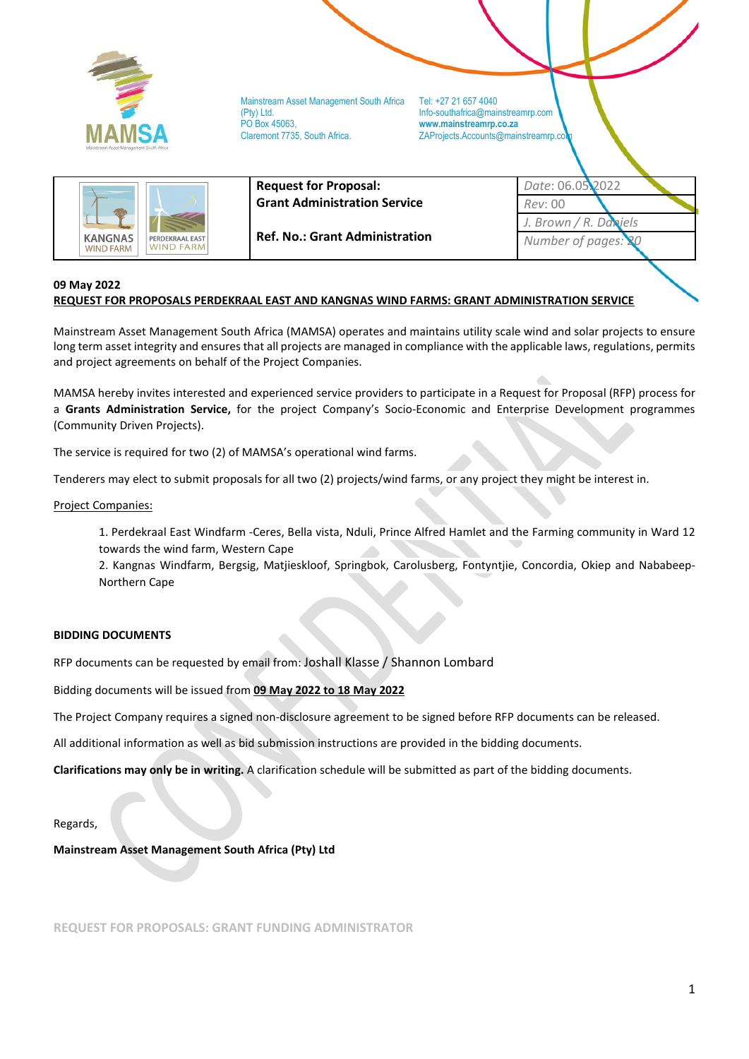

ZAProjects.Accounts@mainstreamrp.co

|                                                                           | <b>Request for Proposal:</b>          | Date: 06.05.2022      |  |
|---------------------------------------------------------------------------|---------------------------------------|-----------------------|--|
|                                                                           | <b>Grant Administration Service</b>   | Rev: 00               |  |
|                                                                           |                                       | J. Brown / R. Daniels |  |
| <b>KANGNAS</b><br>PERDEKRAAL EAST<br><b>WIND FARM</b><br><b>WIND FARM</b> | <b>Ref. No.: Grant Administration</b> | Number of pages: 20   |  |

#### **09 May 2022 REQUEST FOR PROPOSALS PERDEKRAAL EAST AND KANGNAS WIND FARMS: GRANT ADMINISTRATION SERVICE**

Mainstream Asset Management South Africa (MAMSA) operates and maintains utility scale wind and solar projects to ensure long term asset integrity and ensures that all projects are managed in compliance with the applicable laws, regulations, permits and project agreements on behalf of the Project Companies.

MAMSA hereby invites interested and experienced service providers to participate in a Request for Proposal (RFP) process for a **Grants Administration Service,** for the project Company's Socio-Economic and Enterprise Development programmes (Community Driven Projects).

The service is required for two (2) of MAMSA's operational wind farms.

Tenderers may elect to submit proposals for all two (2) projects/wind farms, or any project they might be interest in.

Project Companies:

1. Perdekraal East Windfarm -Ceres, Bella vista, Nduli, Prince Alfred Hamlet and the Farming community in Ward 12 towards the wind farm, Western Cape

2. Kangnas Windfarm, Bergsig, Matjieskloof, Springbok, Carolusberg, Fontyntjie, Concordia, Okiep and Nababeep-Northern Cape

#### **BIDDING DOCUMENTS**

RFP documents can be requested by email from: Joshall Klasse / Shannon Lombard

Bidding documents will be issued from **09 May 2022 to 18 May 2022**

The Project Company requires a signed non-disclosure agreement to be signed before RFP documents can be released.

All additional information as well as bid submission instructions are provided in the bidding documents.

**Clarifications may only be in writing.** A clarification schedule will be submitted as part of the bidding documents.

#### Regards,

#### **Mainstream Asset Management South Africa (Pty) Ltd**

**REQUEST FOR PROPOSALS: GRANT FUNDING ADMINISTRATOR**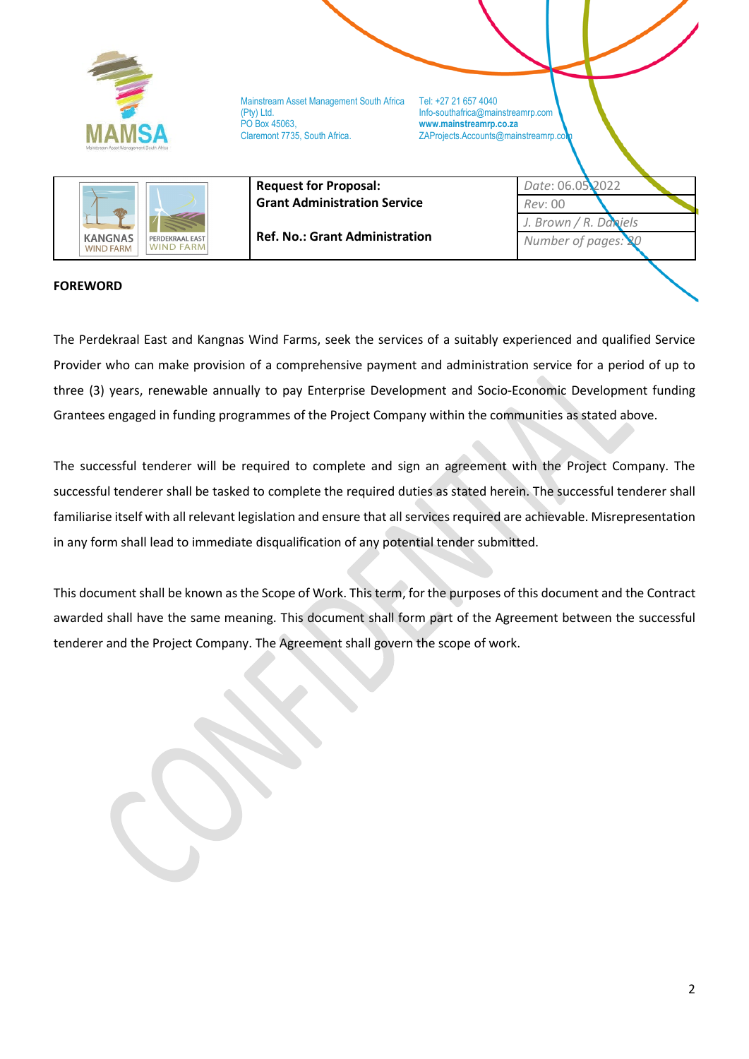

ZAProjects.Accounts@mainstreamrp.co



**Request for Proposal: Grant Administration Service**

**Ref. No.: Grant Administration**

*Date*: 06.05.2022 *Rev*: 00 *J. Brown / R. Daniels Number of pages: 20*

## <span id="page-1-0"></span>**FOREWORD**

The Perdekraal East and Kangnas Wind Farms, seek the services of a suitably experienced and qualified Service Provider who can make provision of a comprehensive payment and administration service for a period of up to three (3) years, renewable annually to pay Enterprise Development and Socio-Economic Development funding Grantees engaged in funding programmes of the Project Company within the communities as stated above.

The successful tenderer will be required to complete and sign an agreement with the Project Company. The successful tenderer shall be tasked to complete the required duties as stated herein. The successful tenderer shall familiarise itself with all relevant legislation and ensure that all services required are achievable. Misrepresentation in any form shall lead to immediate disqualification of any potential tender submitted.

This document shall be known as the Scope of Work. This term, for the purposes of this document and the Contract awarded shall have the same meaning. This document shall form part of the Agreement between the successful tenderer and the Project Company. The Agreement shall govern the scope of work.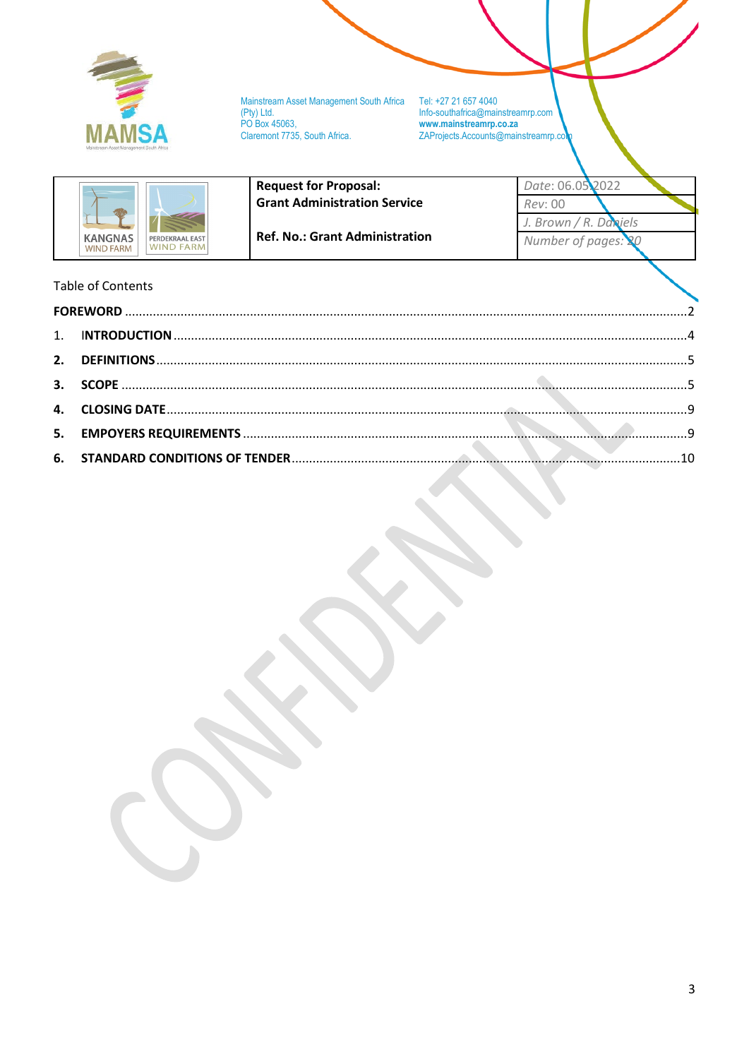

Mainstream Asset Management South Africa<br>(Pty) Ltd.<br>PO Box 45063, Claremont 7735, South Africa.

**Request for Proposal:** 

Tel: +27 21 657 4040<br>Info-southafrica@mainstreamrp.com www.mainstreamrp.co.za ZAProjects.Accounts@mainstreamrp.co

| <b>KANGNAS</b>   | PERDEKRAAL EAST  |
|------------------|------------------|
| <b>WIND FARM</b> | <b>WIND FARM</b> |

**Grant Administration Service Ref. No.: Grant Administration** 

Date: 06.05 2022 Rev: 00 J. Brown / R. Daniels Number of pages: 20

# **Table of Contents**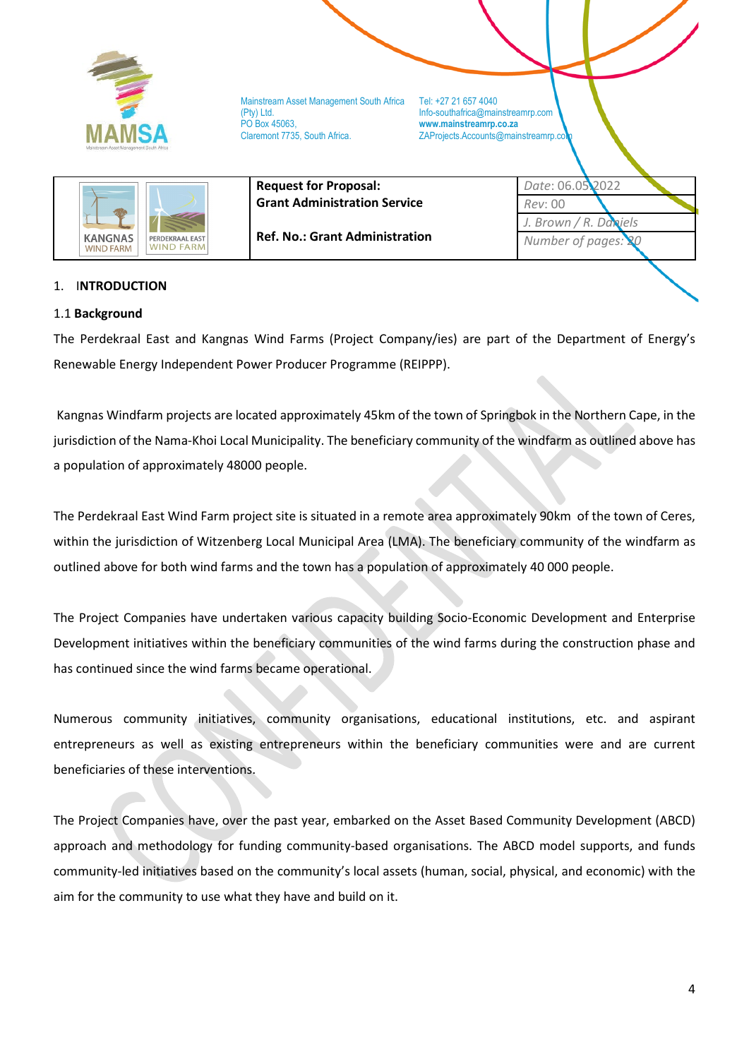

**Request for Proposal:** 

ZAProjects.Accounts@mainstreamrp.co



**Grant Administration Service**

**Ref. No.: Grant Administration**

*Date*: 06.05.2022 *Rev*: 00 *J. Brown / R. Daniels Number of pages: 20*

## <span id="page-3-0"></span>1. I**NTRODUCTION**

### 1.1 **Background**

The Perdekraal East and Kangnas Wind Farms (Project Company/ies) are part of the Department of Energy's Renewable Energy Independent Power Producer Programme (REIPPP).

Kangnas Windfarm projects are located approximately 45km of the town of Springbok in the Northern Cape, in the jurisdiction of the Nama-Khoi Local Municipality. The beneficiary community of the windfarm as outlined above has a population of approximately 48000 people.

The Perdekraal East Wind Farm project site is situated in a remote area approximately 90km of the town of Ceres, within the jurisdiction of Witzenberg Local Municipal Area (LMA). The beneficiary community of the windfarm as outlined above for both wind farms and the town has a population of approximately 40 000 people.

The Project Companies have undertaken various capacity building Socio-Economic Development and Enterprise Development initiatives within the beneficiary communities of the wind farms during the construction phase and has continued since the wind farms became operational.

Numerous community initiatives, community organisations, educational institutions, etc. and aspirant entrepreneurs as well as existing entrepreneurs within the beneficiary communities were and are current beneficiaries of these interventions.

The Project Companies have, over the past year, embarked on the Asset Based Community Development (ABCD) approach and methodology for funding community-based organisations. The ABCD model supports, and funds community-led initiatives based on the community's local assets (human, social, physical, and economic) with the aim for the community to use what they have and build on it.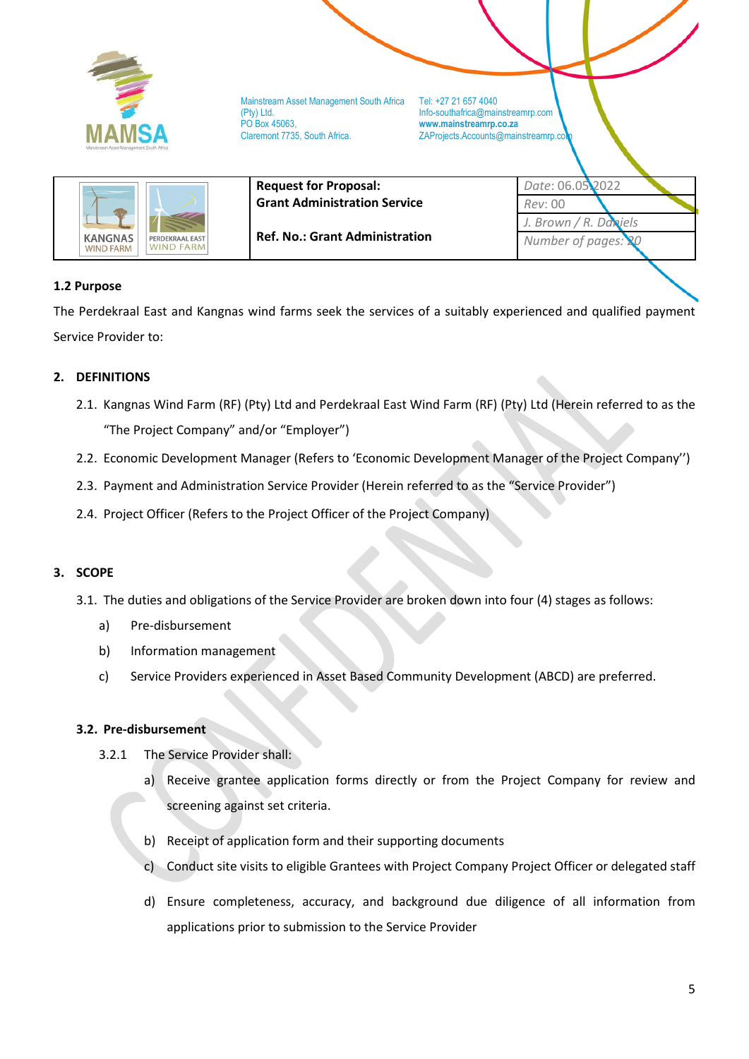

ZAProjects.Accounts@mainstreamrp.co

|                                                                     | <b>Request for Proposal:</b>          | Date: 06.05.2022         |  |
|---------------------------------------------------------------------|---------------------------------------|--------------------------|--|
|                                                                     | <b>Grant Administration Service</b>   | Rev: 00                  |  |
|                                                                     |                                       | J. Brown / $R$ . Daniels |  |
| KANGNAS<br>PERDEKRAAL EAST<br><b>WIND FARMI</b><br><b>WIND FARM</b> | <b>Ref. No.: Grant Administration</b> | Number of pages: 20      |  |

## **1.2 Purpose**

The Perdekraal East and Kangnas wind farms seek the services of a suitably experienced and qualified payment Service Provider to:

## <span id="page-4-0"></span>**2. DEFINITIONS**

- 2.1. Kangnas Wind Farm (RF) (Pty) Ltd and Perdekraal East Wind Farm (RF) (Pty) Ltd (Herein referred to as the "The Project Company" and/or "Employer")
- 2.2. Economic Development Manager (Refers to 'Economic Development Manager of the Project Company'')
- 2.3. Payment and Administration Service Provider (Herein referred to as the "Service Provider")
- 2.4. Project Officer (Refers to the Project Officer of the Project Company)

### <span id="page-4-1"></span>**3. SCOPE**

- 3.1. The duties and obligations of the Service Provider are broken down into four (4) stages as follows:
	- a) Pre-disbursement
	- b) Information management
	- c) Service Providers experienced in Asset Based Community Development (ABCD) are preferred.

### **3.2. Pre-disbursement**

- 3.2.1 The Service Provider shall:
	- a) Receive grantee application forms directly or from the Project Company for review and screening against set criteria.
	- b) Receipt of application form and their supporting documents
	- c) Conduct site visits to eligible Grantees with Project Company Project Officer or delegated staff
	- d) Ensure completeness, accuracy, and background due diligence of all information from applications prior to submission to the Service Provider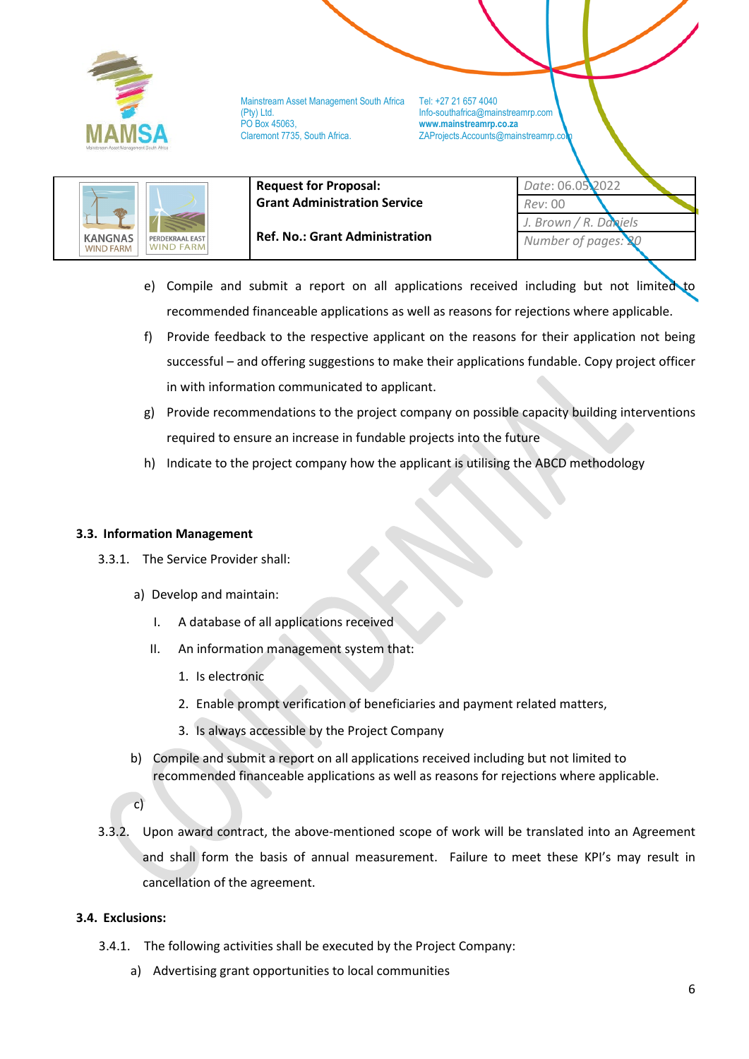

Mainstream Asset Management South Africa Tel: +27 21 657 4040<br>(Pty) Ltd. Info-southafrica@mail (Pty) Ltd. Info-southafrica@mainstreamrp.com PO Box 45063, **www.mainstreamrp.co.za**

ZAProjects.Accounts@mainstreamrp.co

|                                                                           | <b>Request for Proposal:</b><br><b>Grant Administration Service</b> | Date: 06.05.2022<br>Rev: 00                  |
|---------------------------------------------------------------------------|---------------------------------------------------------------------|----------------------------------------------|
| <b>KANGNAS</b><br>PERDEKRAAL EAST<br><b>WIND FARM</b><br><b>WIND FARM</b> | <b>Ref. No.: Grant Administration</b>                               | J. Brown / R. Daniels<br>Number of pages: 20 |

- e) Compile and submit a report on all applications received including but not limited to recommended financeable applications as well as reasons for rejections where applicable.
- f) Provide feedback to the respective applicant on the reasons for their application not being successful – and offering suggestions to make their applications fundable. Copy project officer in with information communicated to applicant.
- g) Provide recommendations to the project company on possible capacity building interventions required to ensure an increase in fundable projects into the future
- h) Indicate to the project company how the applicant is utilising the ABCD methodology

### **3.3. Information Management**

- 3.3.1. The Service Provider shall:
	- a) Develop and maintain:
		- I. A database of all applications received
		- II. An information management system that:
			- 1. Is electronic
			- 2. Enable prompt verification of beneficiaries and payment related matters,
			- 3. Is always accessible by the Project Company
	- b) Compile and submit a report on all applications received including but not limited to recommended financeable applications as well as reasons for rejections where applicable.

3.3.2. Upon award contract, the above-mentioned scope of work will be translated into an Agreement and shall form the basis of annual measurement. Failure to meet these KPI's may result in cancellation of the agreement.

### **3.4. Exclusions:**

- 3.4.1. The following activities shall be executed by the Project Company:
	- a) Advertising grant opportunities to local communities

c)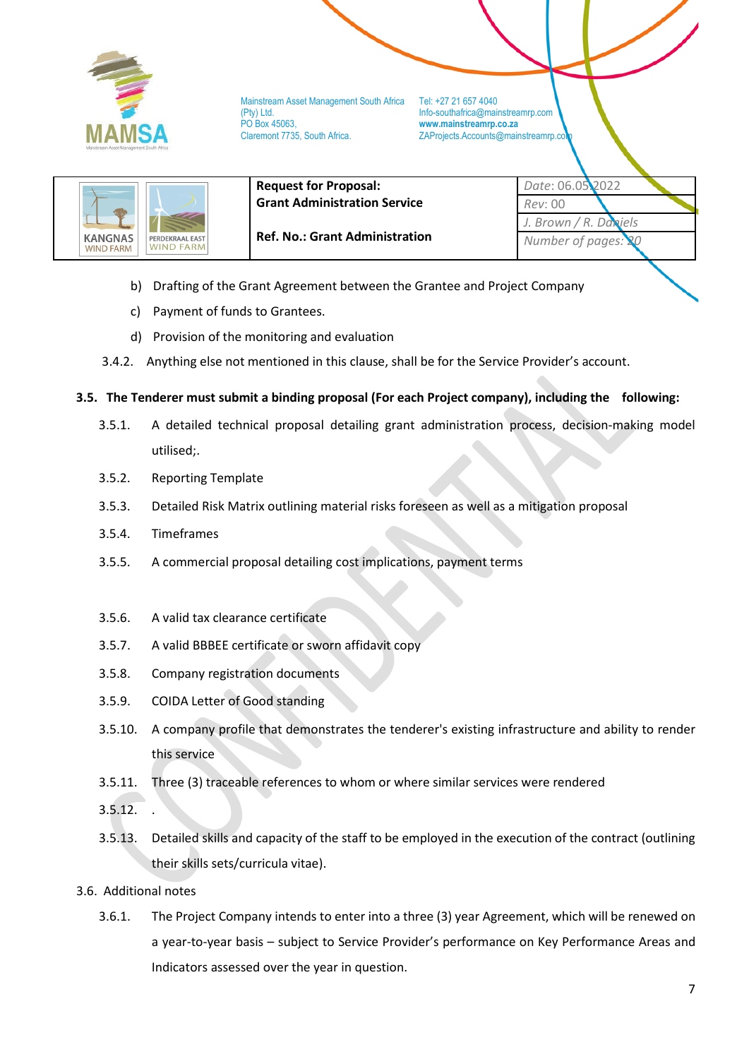

Mainstream Asset Management South Africa Tel: +27 21 657 4040<br>(Pty) Ltd. Info-southafrica@mail (Pty) Ltd. Info-southafrica@mainstreamrp.com PO Box 45063, **www.mainstreamrp.co.za**

ZAProjects.Accounts@mainstreamrp.co

*Date*: 06.05.2022

*J. Brown / R. Daniels Number of pages:* 

*Rev*: 00



**Request for Proposal: Grant Administration Service**

**Ref. No.: Grant Administration**

- b) Drafting of the Grant Agreement between the Grantee and Project Company
- c) Payment of funds to Grantees.
- d) Provision of the monitoring and evaluation
- 3.4.2. Anything else not mentioned in this clause, shall be for the Service Provider's account.

### **3.5. The Tenderer must submit a binding proposal (For each Project company), including the following:**

- 3.5.1. A detailed technical proposal detailing grant administration process, decision-making model utilised;.
- 3.5.2. Reporting Template
- 3.5.3. Detailed Risk Matrix outlining material risks foreseen as well as a mitigation proposal
- 3.5.4. Timeframes
- 3.5.5. A commercial proposal detailing cost implications, payment terms
- 3.5.6. A valid tax clearance certificate
- 3.5.7. A valid BBBEE certificate or sworn affidavit copy
- 3.5.8. Company registration documents
- 3.5.9. COIDA Letter of Good standing
- 3.5.10. A company profile that demonstrates the tenderer's existing infrastructure and ability to render this service
- 3.5.11. Three (3) traceable references to whom or where similar services were rendered
- 3.5.12. .
- 3.5.13. Detailed skills and capacity of the staff to be employed in the execution of the contract (outlining their skills sets/curricula vitae).
- 3.6. Additional notes
	- 3.6.1. The Project Company intends to enter into a three (3) year Agreement, which will be renewed on a year-to-year basis – subject to Service Provider's performance on Key Performance Areas and Indicators assessed over the year in question.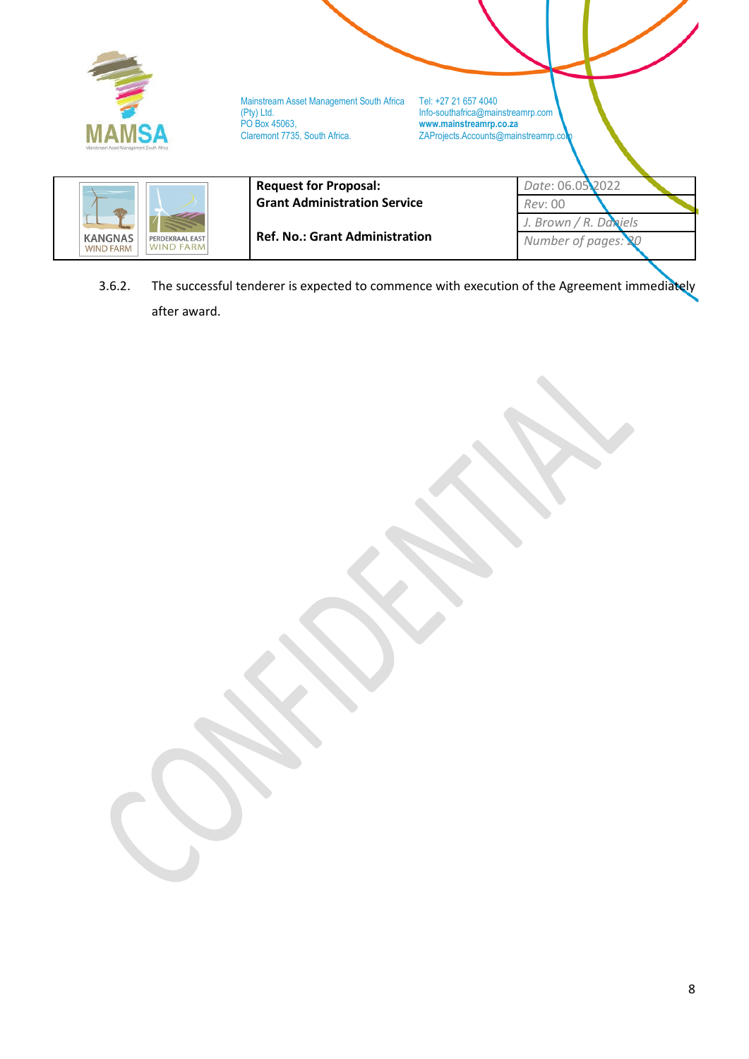

**Ref. No.: Grant Administration**

 $\overline{a}$ 

**KANGNAS**<br>WIND FARM

PERDEKRAAL EAST

3.6.2. The successful tenderer is expected to commence with execution of the Agreement immediately after award.

*Number of pages: 20*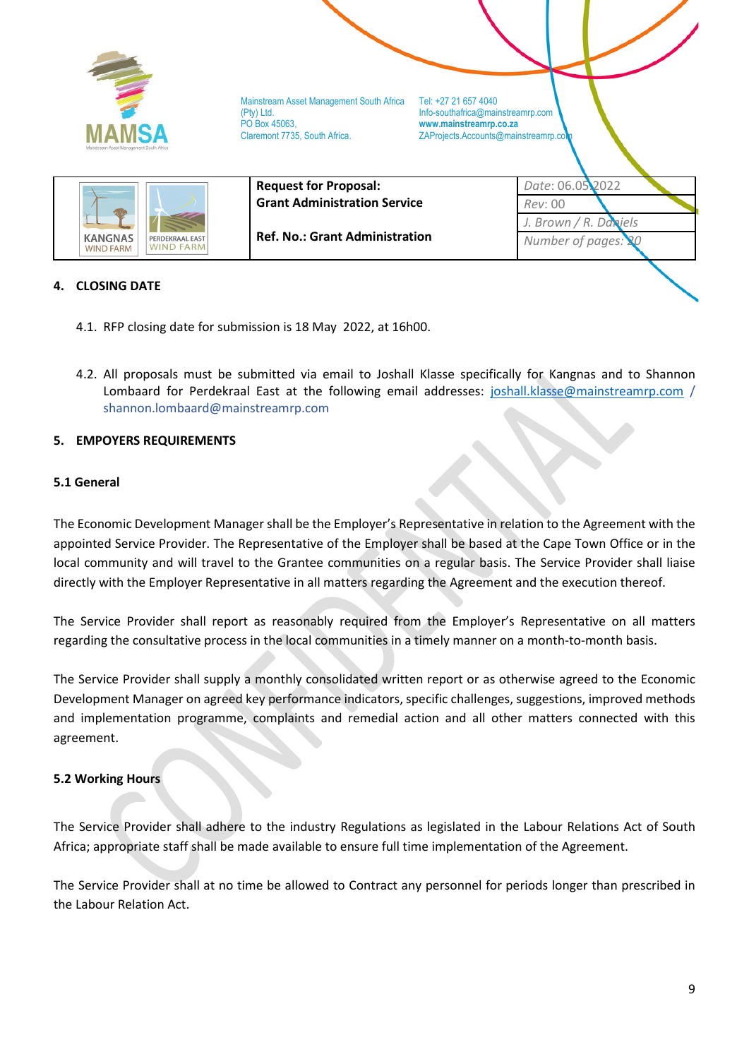

*Number of pages:* 

**Ref. No.: Grant Administration**

### <span id="page-8-0"></span>**4. CLOSING DATE**

**KANGNAS** 

**WIND FARM** 

PERDEKRAAL FAST

 $\overline{a}$ 

- 4.1. RFP closing date for submission is 18 May 2022, at 16h00.
- 4.2. All proposals must be submitted via email to Joshall Klasse specifically for Kangnas and to Shannon Lombaard for Perdekraal East at the following email addresses: [joshall.klasse@mainstreamrp.com](mailto:joshall.klasse@mainstreamrp.com) / shannon.lombaard@mainstreamrp.com

#### <span id="page-8-1"></span>**5. EMPOYERS REQUIREMENTS**

#### **5.1 General**

The Economic Development Manager shall be the Employer's Representative in relation to the Agreement with the appointed Service Provider. The Representative of the Employer shall be based at the Cape Town Office or in the local community and will travel to the Grantee communities on a regular basis. The Service Provider shall liaise directly with the Employer Representative in all matters regarding the Agreement and the execution thereof.

The Service Provider shall report as reasonably required from the Employer's Representative on all matters regarding the consultative process in the local communities in a timely manner on a month-to-month basis.

The Service Provider shall supply a monthly consolidated written report or as otherwise agreed to the Economic Development Manager on agreed key performance indicators, specific challenges, suggestions, improved methods and implementation programme, complaints and remedial action and all other matters connected with this agreement.

#### **5.2 Working Hours**

The Service Provider shall adhere to the industry Regulations as legislated in the Labour Relations Act of South Africa; appropriate staff shall be made available to ensure full time implementation of the Agreement.

The Service Provider shall at no time be allowed to Contract any personnel for periods longer than prescribed in the Labour Relation Act.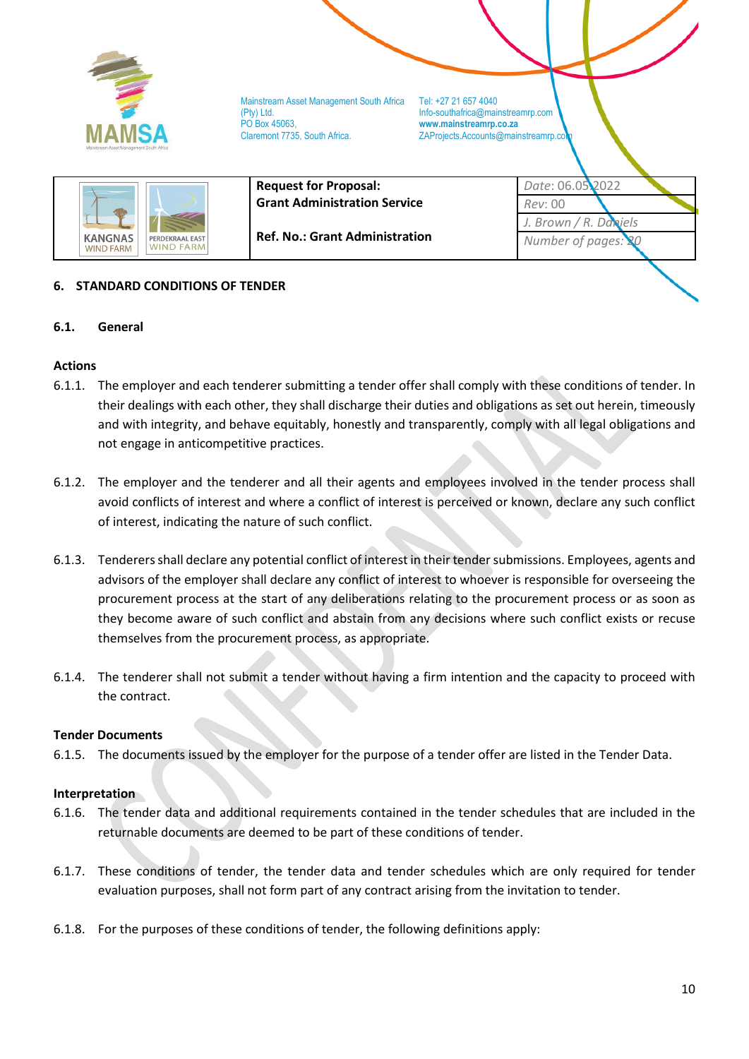

ZAProjects.Accounts@mainstreamrp.co



**Request for Proposal: Grant Administration Service**

**Ref. No.: Grant Administration**

*Date*: 06.05.2022 *Rev*: 00 *J. Brown / R. Daniels Number of pages: 20*

# <span id="page-9-0"></span>**6. STANDARD CONDITIONS OF TENDER**

## **6.1. General**

# **Actions**

- 6.1.1. The employer and each tenderer submitting a tender offer shall comply with these conditions of tender. In their dealings with each other, they shall discharge their duties and obligations as set out herein, timeously and with integrity, and behave equitably, honestly and transparently, comply with all legal obligations and not engage in anticompetitive practices.
- 6.1.2. The employer and the tenderer and all their agents and employees involved in the tender process shall avoid conflicts of interest and where a conflict of interest is perceived or known, declare any such conflict of interest, indicating the nature of such conflict.
- 6.1.3. Tenderers shall declare any potential conflict of interest in their tender submissions. Employees, agents and advisors of the employer shall declare any conflict of interest to whoever is responsible for overseeing the procurement process at the start of any deliberations relating to the procurement process or as soon as they become aware of such conflict and abstain from any decisions where such conflict exists or recuse themselves from the procurement process, as appropriate.
- 6.1.4. The tenderer shall not submit a tender without having a firm intention and the capacity to proceed with the contract.

### **Tender Documents**

6.1.5. The documents issued by the employer for the purpose of a tender offer are listed in the Tender Data.

### **Interpretation**

- 6.1.6. The tender data and additional requirements contained in the tender schedules that are included in the returnable documents are deemed to be part of these conditions of tender.
- 6.1.7. These conditions of tender, the tender data and tender schedules which are only required for tender evaluation purposes, shall not form part of any contract arising from the invitation to tender.
- 6.1.8. For the purposes of these conditions of tender, the following definitions apply: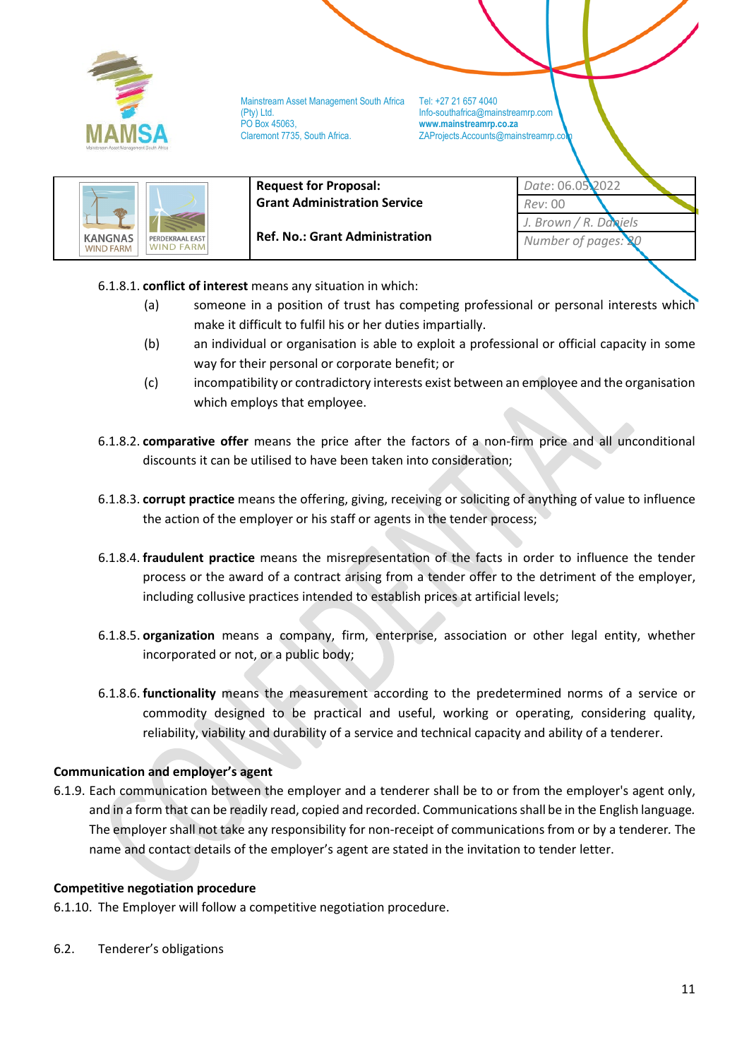

ZAProjects.Accounts@mainstreamrp.co

|                                                                           | <b>Request for Proposal:</b><br><b>Grant Administration Service</b> | Date: 06.05 <b>.</b> 2022<br>Rev: 00      |
|---------------------------------------------------------------------------|---------------------------------------------------------------------|-------------------------------------------|
| <b>KANGNAS</b><br>PERDEKRAAL EAST<br><b>WIND FARM</b><br><b>WIND FARM</b> | <b>Ref. No.: Grant Administration</b>                               | Brown / R. Daniels<br>Number of pages: 20 |

- 6.1.8.1. **conflict of interest** means any situation in which:
	- (a) someone in a position of trust has competing professional or personal interests which make it difficult to fulfil his or her duties impartially.
	- (b) an individual or organisation is able to exploit a professional or official capacity in some way for their personal or corporate benefit; or
	- (c) incompatibility or contradictory interests exist between an employee and the organisation which employs that employee.
- 6.1.8.2. **comparative offer** means the price after the factors of a non-firm price and all unconditional discounts it can be utilised to have been taken into consideration;
- 6.1.8.3. **corrupt practice** means the offering, giving, receiving or soliciting of anything of value to influence the action of the employer or his staff or agents in the tender process;
- 6.1.8.4. **fraudulent practice** means the misrepresentation of the facts in order to influence the tender process or the award of a contract arising from a tender offer to the detriment of the employer, including collusive practices intended to establish prices at artificial levels;
- 6.1.8.5. **organization** means a company, firm, enterprise, association or other legal entity, whether incorporated or not, or a public body;
- 6.1.8.6. **functionality** means the measurement according to the predetermined norms of a service or commodity designed to be practical and useful, working or operating, considering quality, reliability, viability and durability of a service and technical capacity and ability of a tenderer.

# **Communication and employer's agent**

6.1.9. Each communication between the employer and a tenderer shall be to or from the employer's agent only, and in a form that can be readily read, copied and recorded. Communications shall be in the English language*.*  The employer shall not take any responsibility for non-receipt of communications from or by a tenderer*.* The name and contact details of the employer's agent are stated in the invitation to tender letter.

## **Competitive negotiation procedure**

6.1.10. The Employer will follow a competitive negotiation procedure.

6.2. Tenderer's obligations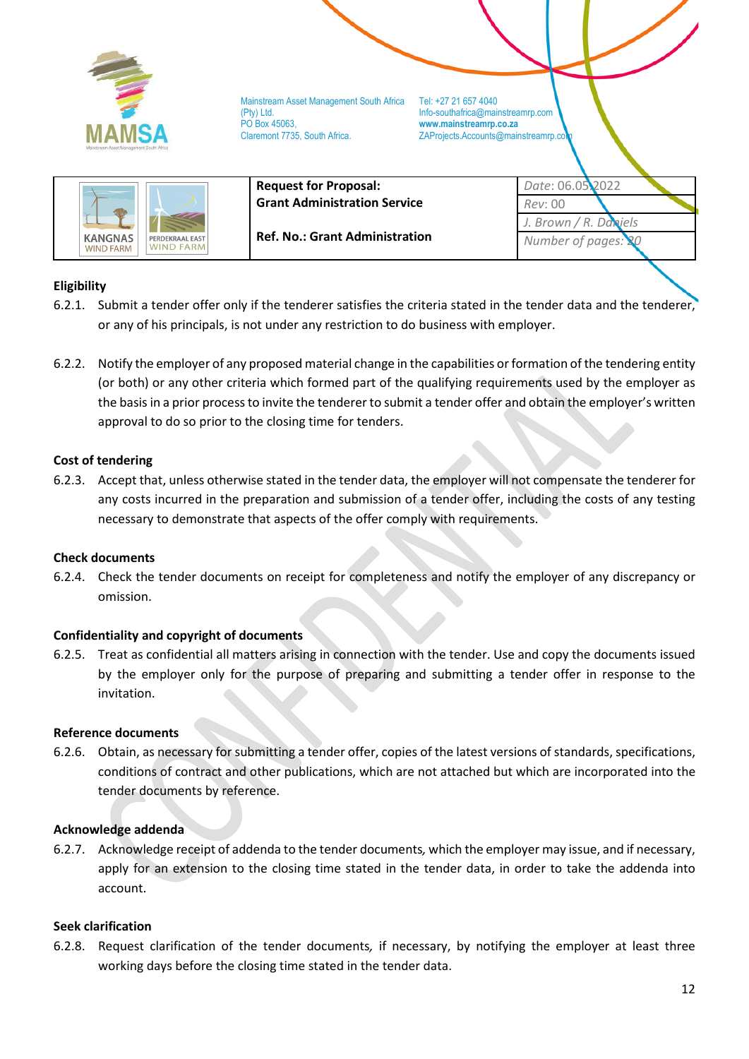

ZAProjects.Accounts@mainstreamrp.co

|                                      | <b>Request for Proposal:</b><br><b>Grant Administration Service</b> | Date: 06.05 <b>.</b> 2022<br>Rev: 00         |  |
|--------------------------------------|---------------------------------------------------------------------|----------------------------------------------|--|
| <b>KANGNAS</b><br>PERDEKRAAL EAST    | <b>Ref. No.: Grant Administration</b>                               | J. Brown / R. Daniels<br>Number of pages: 20 |  |
| <b>WIND FARM</b><br><b>WIND FARM</b> |                                                                     |                                              |  |

## **Eligibility**

- 6.2.1. Submit a tender offer only if the tenderer satisfies the criteria stated in the tender data and the tenderer, or any of his principals, is not under any restriction to do business with employer.
- 6.2.2. Notify the employer of any proposed material change in the capabilities or formation of the tendering entity (or both) or any other criteria which formed part of the qualifying requirements used by the employer as the basis in a prior process to invite the tenderer to submit a tender offer and obtain the employer's written approval to do so prior to the closing time for tenders.

### **Cost of tendering**

6.2.3. Accept that, unless otherwise stated in the tender data, the employer will not compensate the tenderer for any costs incurred in the preparation and submission of a tender offer, including the costs of any testing necessary to demonstrate that aspects of the offer comply with requirements.

#### **Check documents**

6.2.4. Check the tender documents on receipt for completeness and notify the employer of any discrepancy or omission.

### **Confidentiality and copyright of documents**

6.2.5. Treat as confidential all matters arising in connection with the tender. Use and copy the documents issued by the employer only for the purpose of preparing and submitting a tender offer in response to the invitation.

#### **Reference documents**

6.2.6. Obtain, as necessary for submitting a tender offer, copies of the latest versions of standards, specifications, conditions of contract and other publications, which are not attached but which are incorporated into the tender documents by reference.

#### **Acknowledge addenda**

6.2.7. Acknowledge receipt of addenda to the tender documents*,* which the employer may issue, and if necessary, apply for an extension to the closing time stated in the tender data, in order to take the addenda into account.

#### **Seek clarification**

6.2.8. Request clarification of the tender documents*,* if necessary, by notifying the employer at least three working days before the closing time stated in the tender data.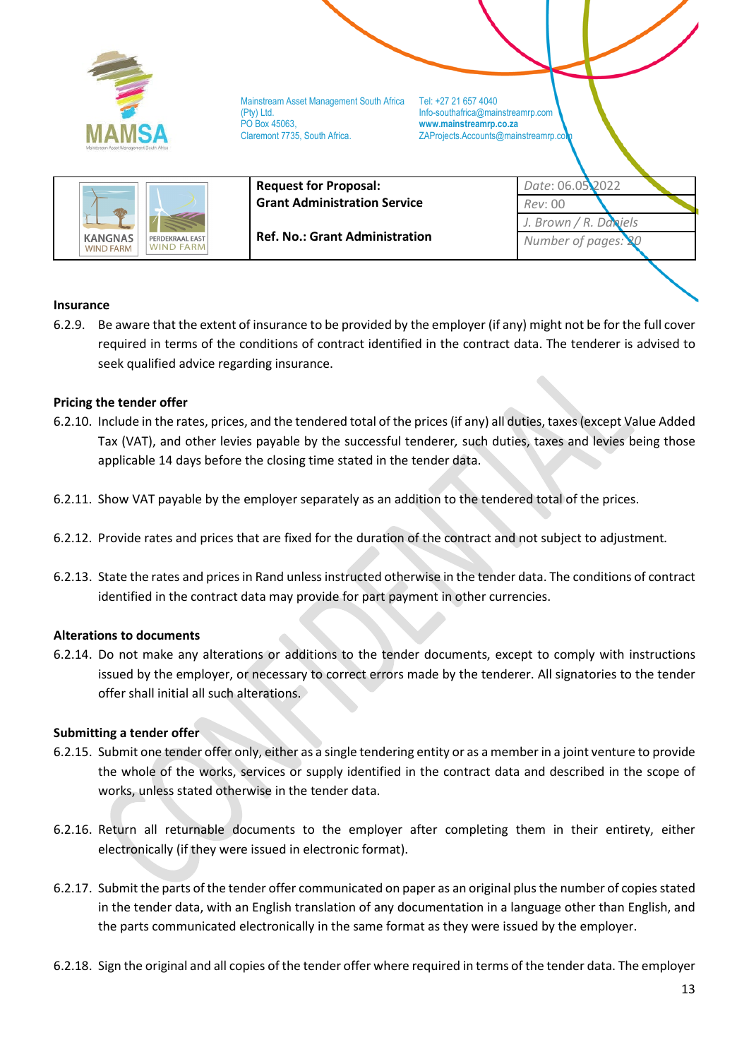

ZAProjects.Accounts@mainstreamrp.co

|                                                                                                                    | <b>Request for Proposal:</b>        | Date: 06.05.2022         |
|--------------------------------------------------------------------------------------------------------------------|-------------------------------------|--------------------------|
|                                                                                                                    | <b>Grant Administration Service</b> | Rev: 00                  |
| <b>Ref. No.: Grant Administration</b><br><b>KANGNAS</b><br>PERDEKRAAL EAST<br><b>WIND FARM</b><br><b>WIND FARM</b> |                                     | J. Brown / $R$ . Daniels |
|                                                                                                                    | Number of pages: 20                 |                          |

### **Insurance**

6.2.9. Be aware that the extent of insurance to be provided by the employer (if any) might not be for the full cover required in terms of the conditions of contract identified in the contract data. The tenderer is advised to seek qualified advice regarding insurance.

### **Pricing the tender offer**

- 6.2.10. Include in the rates, prices, and the tendered total of the prices (if any) all duties, taxes (except Value Added Tax (VAT), and other levies payable by the successful tenderer*,* such duties, taxes and levies being those applicable 14 days before the closing time stated in the tender data.
- 6.2.11. Show VAT payable by the employer separately as an addition to the tendered total of the prices.
- 6.2.12. Provide rates and prices that are fixed for the duration of the contract and not subject to adjustment*.*
- 6.2.13. State the rates and prices in Rand unless instructed otherwise in the tender data. The conditions of contract identified in the contract data may provide for part payment in other currencies.

#### **Alterations to documents**

6.2.14. Do not make any alterations or additions to the tender documents, except to comply with instructions issued by the employer, or necessary to correct errors made by the tenderer. All signatories to the tender offer shall initial all such alterations.

#### **Submitting a tender offer**

- 6.2.15. Submit one tender offer only, either as a single tendering entity or as a member in a joint venture to provide the whole of the works, services or supply identified in the contract data and described in the scope of works, unless stated otherwise in the tender data.
- 6.2.16. Return all returnable documents to the employer after completing them in their entirety, either electronically (if they were issued in electronic format).
- 6.2.17. Submit the parts of the tender offer communicated on paper as an original plus the number of copies stated in the tender data, with an English translation of any documentation in a language other than English, and the parts communicated electronically in the same format as they were issued by the employer.
- 6.2.18. Sign the original and all copies of the tender offer where required in terms of the tender data. The employer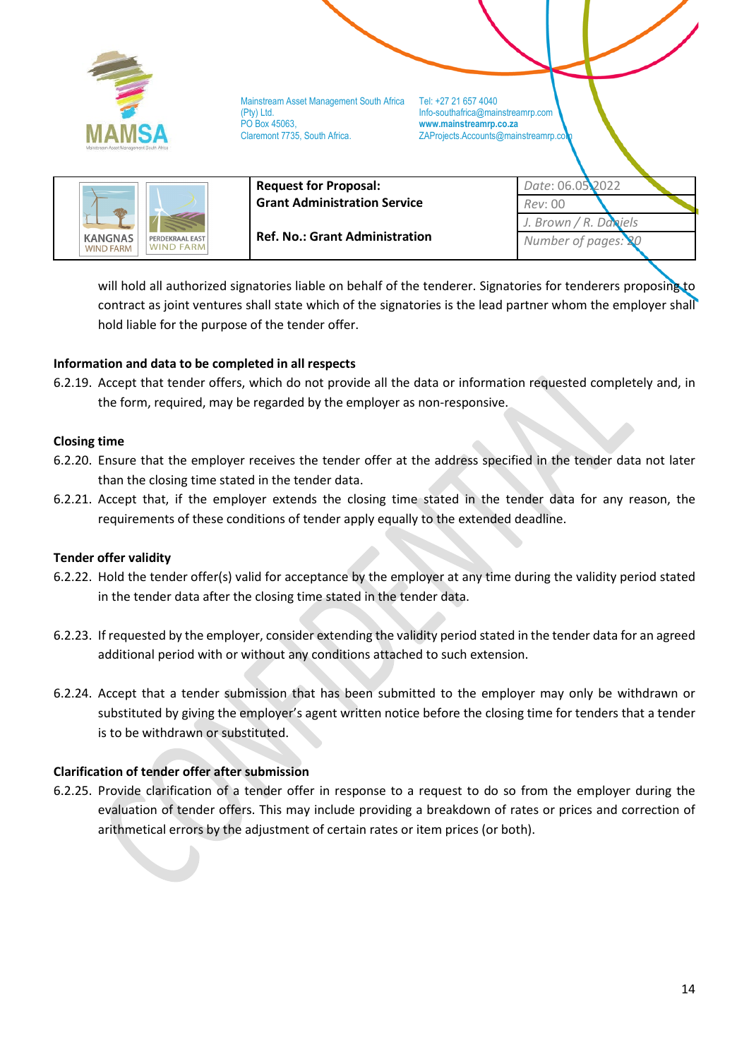

Mainstream Asset Management South Africa Tel: +27 21 657 4040 (Pty) Ltd. Info-southafrica@mainstreamrp.com PO Box 45063, **www.mainstreamrp.co.za**

ZAProjects.Accounts@mainstreamrp.co

|                                                                           | <b>Request for Proposal:</b>          | Date: 06.05.2022         |  |
|---------------------------------------------------------------------------|---------------------------------------|--------------------------|--|
|                                                                           | <b>Grant Administration Service</b>   | Rev: 00                  |  |
| <b>KANGNAS</b><br>PERDEKRAAL EAST<br><b>WIND FARM</b><br><b>WIND FARM</b> |                                       | J. Brown / $R$ . Daniels |  |
|                                                                           | <b>Ref. No.: Grant Administration</b> | Number of pages: 20      |  |

will hold all authorized signatories liable on behalf of the tenderer. Signatories for tenderers proposing to contract as joint ventures shall state which of the signatories is the lead partner whom the employer shall hold liable for the purpose of the tender offer.

## **Information and data to be completed in all respects**

6.2.19. Accept that tender offers, which do not provide all the data or information requested completely and, in the form, required, may be regarded by the employer as non-responsive.

### **Closing time**

- 6.2.20. Ensure that the employer receives the tender offer at the address specified in the tender data not later than the closing time stated in the tender data.
- 6.2.21. Accept that, if the employer extends the closing time stated in the tender data for any reason, the requirements of these conditions of tender apply equally to the extended deadline.

### **Tender offer validity**

- 6.2.22. Hold the tender offer(s) valid for acceptance by the employer at any time during the validity period stated in the tender data after the closing time stated in the tender data.
- 6.2.23. If requested by the employer, consider extending the validity period stated in the tender data for an agreed additional period with or without any conditions attached to such extension.
- 6.2.24. Accept that a tender submission that has been submitted to the employer may only be withdrawn or substituted by giving the employer's agent written notice before the closing time for tenders that a tender is to be withdrawn or substituted.

### **Clarification of tender offer after submission**

6.2.25. Provide clarification of a tender offer in response to a request to do so from the employer during the evaluation of tender offers. This may include providing a breakdown of rates or prices and correction of arithmetical errors by the adjustment of certain rates or item prices (or both).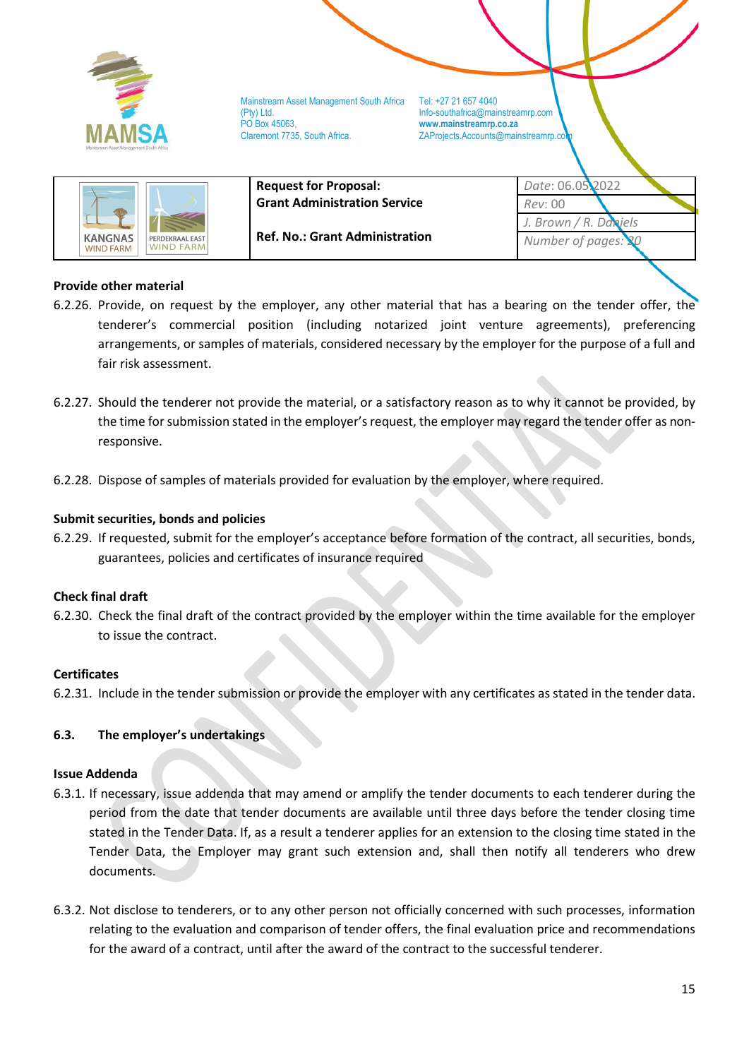

**Request for Proposal:** 

ZAProjects.Accounts@mainstreamrp.co

| <b>KANGNAS</b><br><b>WIND FARM</b> | PERDEKRAAL EAST<br><b>WIND FARM</b> |  |
|------------------------------------|-------------------------------------|--|
|------------------------------------|-------------------------------------|--|

**Grant Administration Service Ref. No.: Grant Administration**

*Rev*: 00 *J. Brown / R. Daniels* **Number of pages:** 

*Date*: 06.05.2022

# **Provide other material**

- 6.2.26. Provide, on request by the employer, any other material that has a bearing on the tender offer, the tenderer's commercial position (including notarized joint venture agreements), preferencing arrangements, or samples of materials, considered necessary by the employer for the purpose of a full and fair risk assessment.
- 6.2.27. Should the tenderer not provide the material, or a satisfactory reason as to why it cannot be provided, by the time for submission stated in the employer's request, the employer may regard the tender offer as nonresponsive.
- 6.2.28. Dispose of samples of materials provided for evaluation by the employer, where required.

## **Submit securities, bonds and policies**

6.2.29. If requested, submit for the employer's acceptance before formation of the contract, all securities, bonds, guarantees, policies and certificates of insurance required

### **Check final draft**

6.2.30. Check the final draft of the contract provided by the employer within the time available for the employer to issue the contract.

### **Certificates**

6.2.31. Include in the tender submission or provide the employer with any certificates as stated in the tender data.

### **6.3. The employer's undertakings**

### **Issue Addenda**

- 6.3.1. If necessary, issue addenda that may amend or amplify the tender documents to each tenderer during the period from the date that tender documents are available until three days before the tender closing time stated in the Tender Data. If, as a result a tenderer applies for an extension to the closing time stated in the Tender Data, the Employer may grant such extension and, shall then notify all tenderers who drew documents.
- 6.3.2. Not disclose to tenderers, or to any other person not officially concerned with such processes, information relating to the evaluation and comparison of tender offers, the final evaluation price and recommendations for the award of a contract, until after the award of the contract to the successful tenderer.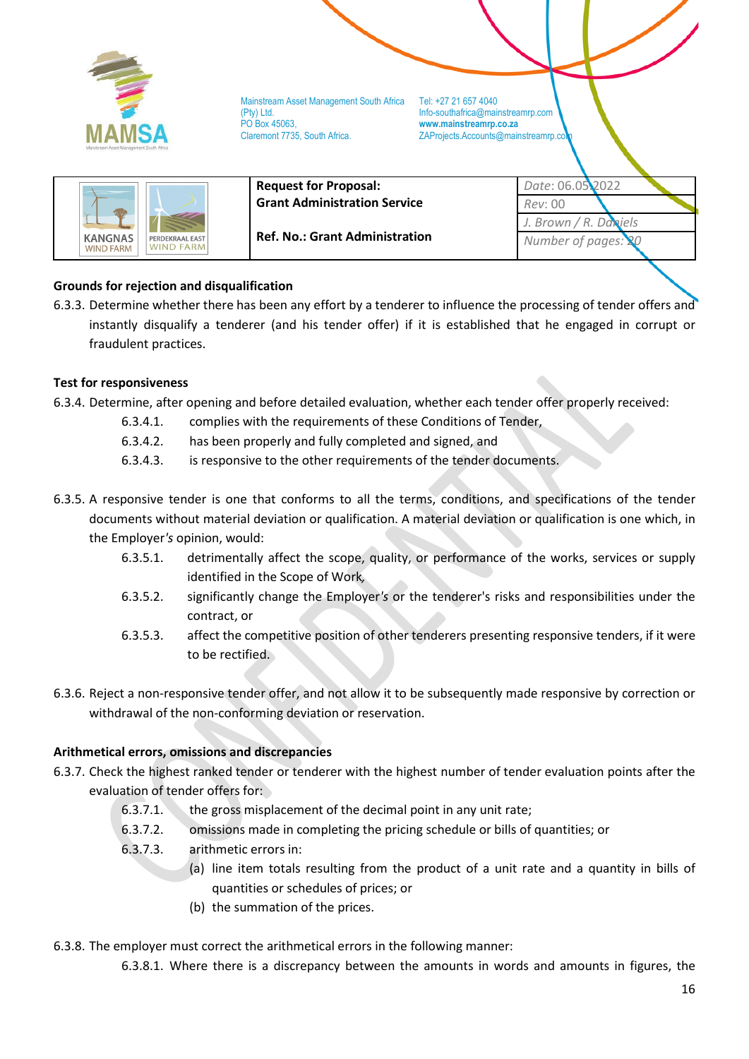

Mainstream Asset Management South Africa Tel: +27 21 657 4040 (Pty) Ltd. Info-southafrica@mainstreamrp.com PO Box 45063, **www.mainstreamrp.co.za**

ZAProjects.Accounts@mainstreamrp.co

|                                                                    | <b>Request for Proposal:</b>          | Date: 06.05.2022         |
|--------------------------------------------------------------------|---------------------------------------|--------------------------|
|                                                                    | <b>Grant Administration Service</b>   | Rev: 00                  |
|                                                                    |                                       | J. Brown / $R$ . Daniels |
| KANGNAS<br>PERDEKRAAL EAST<br><b>WIND FARM</b><br><b>WIND FARM</b> | <b>Ref. No.: Grant Administration</b> | Number of pages: 20      |

# **Grounds for rejection and disqualification**

6.3.3. Determine whether there has been any effort by a tenderer to influence the processing of tender offers and instantly disqualify a tenderer (and his tender offer) if it is established that he engaged in corrupt or fraudulent practices.

### **Test for responsiveness**

- 6.3.4. Determine, after opening and before detailed evaluation, whether each tender offer properly received:
	- 6.3.4.1. complies with the requirements of these Conditions of Tender,
	- 6.3.4.2. has been properly and fully completed and signed, and
	- 6.3.4.3. is responsive to the other requirements of the tender documents.
- 6.3.5. A responsive tender is one that conforms to all the terms, conditions, and specifications of the tender documents without material deviation or qualification. A material deviation or qualification is one which, in the Employer*'s* opinion, would:
	- 6.3.5.1. detrimentally affect the scope, quality, or performance of the works, services or supply identified in the Scope of Work*,*
	- 6.3.5.2. significantly change the Employer*'s* or the tenderer's risks and responsibilities under the contract, or
	- 6.3.5.3. affect the competitive position of other tenderers presenting responsive tenders, if it were to be rectified.
- 6.3.6. Reject a non-responsive tender offer, and not allow it to be subsequently made responsive by correction or withdrawal of the non-conforming deviation or reservation.

### **Arithmetical errors, omissions and discrepancies**

- 6.3.7. Check the highest ranked tender or tenderer with the highest number of tender evaluation points after the evaluation of tender offers for:
	- 6.3.7.1. the gross misplacement of the decimal point in any unit rate;
	- 6.3.7.2. omissions made in completing the pricing schedule or bills of quantities; or
	- 6.3.7.3. arithmetic errors in:
		- (a) line item totals resulting from the product of a unit rate and a quantity in bills of quantities or schedules of prices; or
		- (b) the summation of the prices.
- 6.3.8. The employer must correct the arithmetical errors in the following manner:
	- 6.3.8.1. Where there is a discrepancy between the amounts in words and amounts in figures, the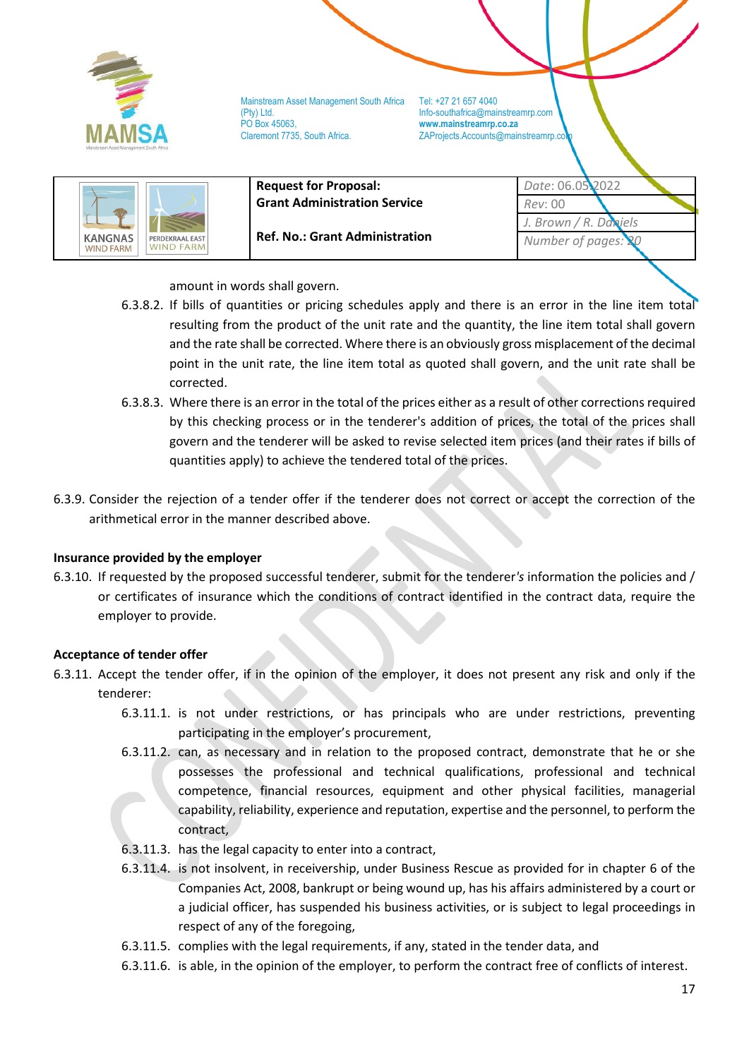

ZAProjects.Accounts@mainstreamrp.co



amount in words shall govern.

- 6.3.8.2. If bills of quantities or pricing schedules apply and there is an error in the line item total resulting from the product of the unit rate and the quantity, the line item total shall govern and the rate shall be corrected. Where there is an obviously gross misplacement of the decimal point in the unit rate, the line item total as quoted shall govern, and the unit rate shall be corrected.
- 6.3.8.3. Where there is an error in the total of the prices either as a result of other corrections required by this checking process or in the tenderer's addition of prices, the total of the prices shall govern and the tenderer will be asked to revise selected item prices (and their rates if bills of quantities apply) to achieve the tendered total of the prices.
- 6.3.9. Consider the rejection of a tender offer if the tenderer does not correct or accept the correction of the arithmetical error in the manner described above.

### **Insurance provided by the employer**

6.3.10. If requested by the proposed successful tenderer, submit for the tenderer*'s* information the policies and / or certificates of insurance which the conditions of contract identified in the contract data, require the employer to provide.

### **Acceptance of tender offer**

- 6.3.11. Accept the tender offer, if in the opinion of the employer, it does not present any risk and only if the tenderer:
	- 6.3.11.1. is not under restrictions, or has principals who are under restrictions, preventing participating in the employer's procurement,
	- 6.3.11.2. can, as necessary and in relation to the proposed contract, demonstrate that he or she possesses the professional and technical qualifications, professional and technical competence, financial resources, equipment and other physical facilities, managerial capability, reliability, experience and reputation, expertise and the personnel, to perform the contract,
	- 6.3.11.3. has the legal capacity to enter into a contract,
	- 6.3.11.4. is not insolvent, in receivership, under Business Rescue as provided for in chapter 6 of the Companies Act, 2008, bankrupt or being wound up, has his affairs administered by a court or a judicial officer, has suspended his business activities, or is subject to legal proceedings in respect of any of the foregoing,
	- 6.3.11.5. complies with the legal requirements, if any, stated in the tender data, and
	- 6.3.11.6. is able, in the opinion of the employer, to perform the contract free of conflicts of interest.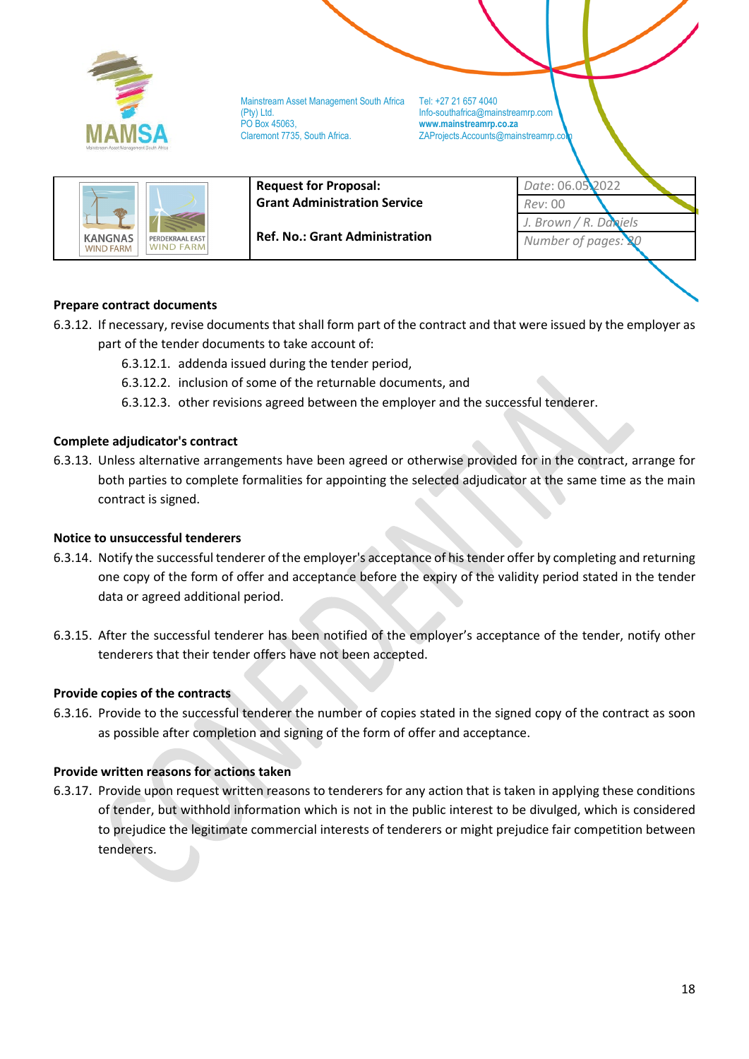

ZAProjects.Accounts@mainstreamrp.co



**Ref. No.: Grant Administration**

*Date*: 06.05.2022 *Rev*: 00 *J. Brown / R. Daniels Number of pages:* 

# **Prepare contract documents**

- 6.3.12. If necessary, revise documents that shall form part of the contract and that were issued by the employer as part of the tender documents to take account of:
	- 6.3.12.1. addenda issued during the tender period,
	- 6.3.12.2. inclusion of some of the returnable documents, and
	- 6.3.12.3. other revisions agreed between the employer and the successful tenderer.

### **Complete adjudicator's contract**

6.3.13. Unless alternative arrangements have been agreed or otherwise provided for in the contract, arrange for both parties to complete formalities for appointing the selected adjudicator at the same time as the main contract is signed.

### **Notice to unsuccessful tenderers**

- 6.3.14. Notify the successful tenderer of the employer's acceptance of his tender offer by completing and returning one copy of the form of offer and acceptance before the expiry of the validity period stated in the tender data or agreed additional period.
- 6.3.15. After the successful tenderer has been notified of the employer's acceptance of the tender, notify other tenderers that their tender offers have not been accepted.

### **Provide copies of the contracts**

6.3.16. Provide to the successful tenderer the number of copies stated in the signed copy of the contract as soon as possible after completion and signing of the form of offer and acceptance.

### **Provide written reasons for actions taken**

6.3.17. Provide upon request written reasons to tenderers for any action that is taken in applying these conditions of tender, but withhold information which is not in the public interest to be divulged, which is considered to prejudice the legitimate commercial interests of tenderers or might prejudice fair competition between tenderers.